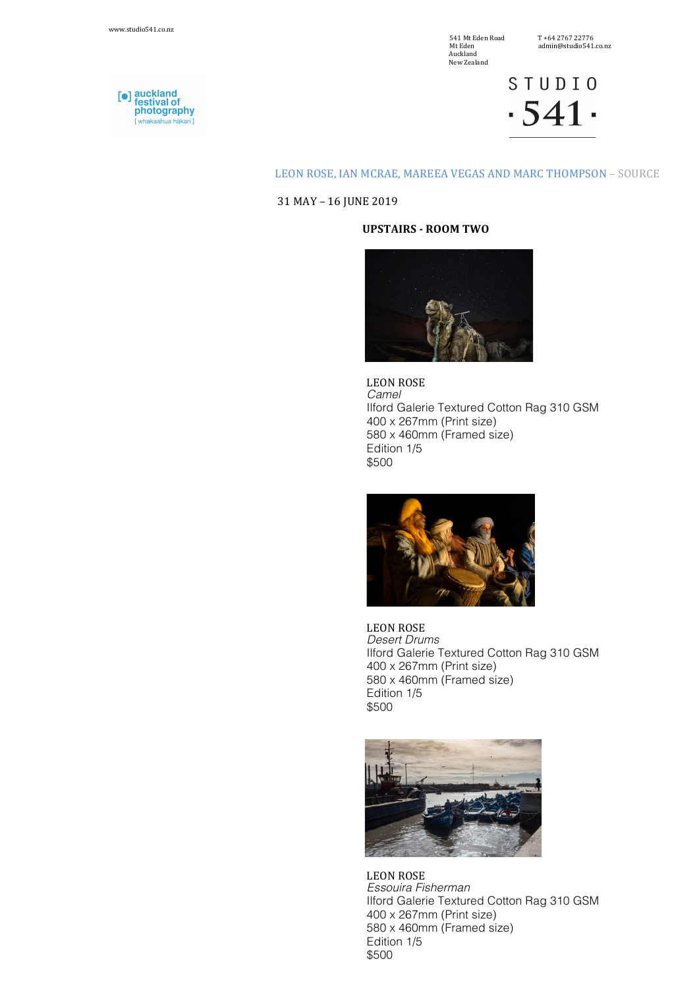$\begin{array}{ll} \text{541 Mt Eden Road} & \text{T +64 2767 22776} \\ \text{Mt Eden} & \text{admin@studio541} \end{array}$ Mt Eden Node<br>
Mt Eden admin@studio541.co.nz<br>
Auckland Auckland New Zealand

**STUDIO**  $-541$ 

## LEON ROSE, IAN MCRAE, MAREEA VEGAS AND MARC THOMPSON - SOURCE

31 MAY – 16 JUNE 2019

## **UPSTAIRS - ROOM TWO**



LEON ROSE *Camel*  Ilford Galerie Textured Cotton Rag 310 GSM 400 x 267mm (Print size) 580 x 460mm (Framed size) Edition 1/5 \$500



LEON ROSE *Desert Drums* Ilford Galerie Textured Cotton Rag 310 GSM 400 x 267mm (Print size) 580 x 460mm (Framed size) Edition 1/5 \$500



LEON ROSE *Essouira Fisherman* Ilford Galerie Textured Cotton Rag 310 GSM 400 x 267mm (Print size) 580 x 460mm (Framed size) Edition 1/5 \$500

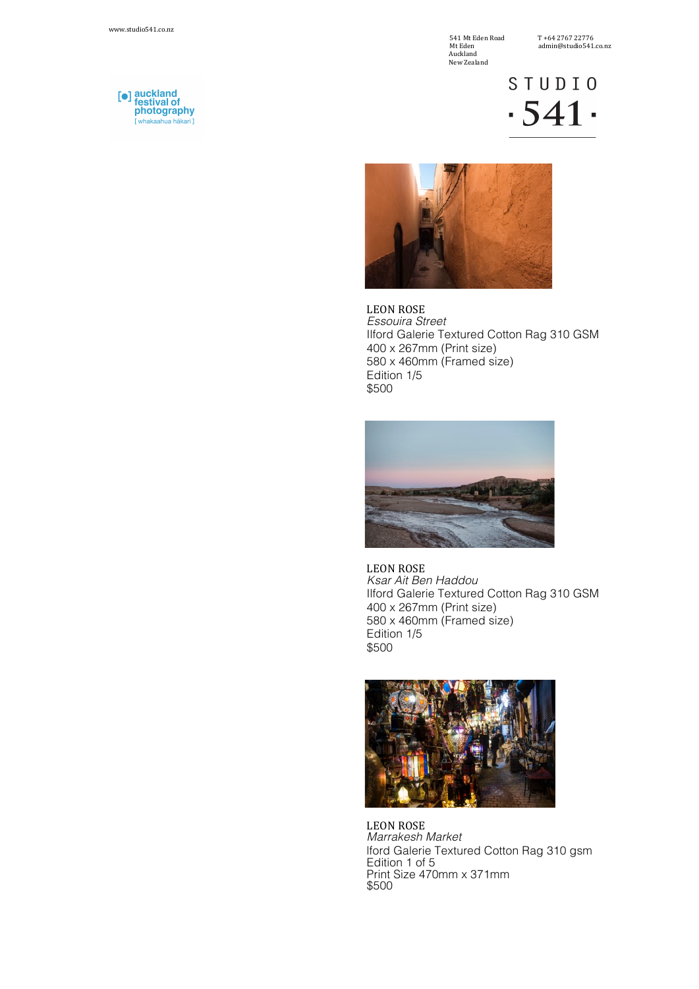541 Mt Eden Road T +64 2767 22776 **Mt Eden**<br>Auckland New Zealand

STUDIO  $-541$ 



LEON ROSE *Essouira Street* Ilford Galerie Textured Cotton Rag 310 GSM 400 x 267mm (Print size) 580 x 460mm (Framed size) Edition 1/5 \$500



LEON ROSE *Ksar Ait Ben Haddou* Ilford Galerie Textured Cotton Rag 310 GSM 400 x 267mm (Print size) 580 x 460mm (Framed size) Edition 1/5 \$500



LEON ROSE *Marrakesh Market* lford Galerie Textured Cotton Rag 310 gsm Edition 1 of 5 Print Size 470mm x 371mm \$500

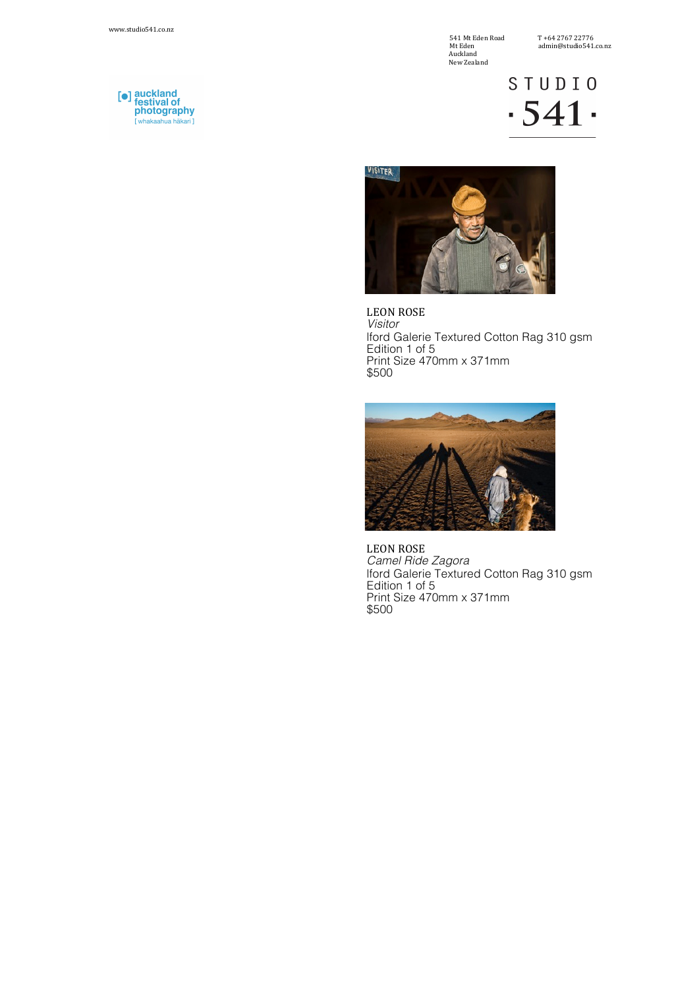541 Mt Eden Road T +64 2767 22776 Auckland New Zealand

**STUDIO**  $-541$ 



LEON ROSE *Visitor* lford Galerie Textured Cotton Rag 310 gsm Edition 1 of 5 Print Size 470mm x 371mm \$500



LEON ROSE *Camel Ride Zagora* lford Galerie Textured Cotton Rag 310 gsm Edition 1 of 5 Print Size 470mm x 371mm \$500

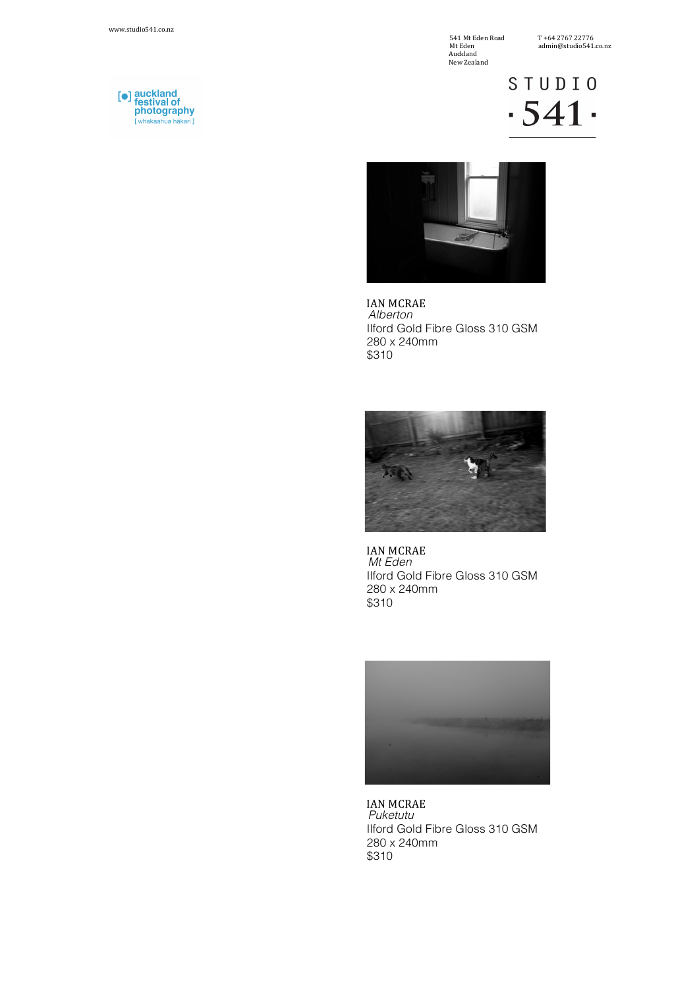541 Mt Eden Road T +64 2767 22776 Auckland New Zealand

**STUDIO**  $-541$ 



IAN MCRAE *Alberton* Ilford Gold Fibre Gloss 310 GSM 280 x 240mm \$310



IAN MCRAE *Mt Eden* Ilford Gold Fibre Gloss 310 GSM 280 x 240mm \$310



IAN MCRAE *Puketutu* Ilford Gold Fibre Gloss 310 GSM 280 x 240mm \$310

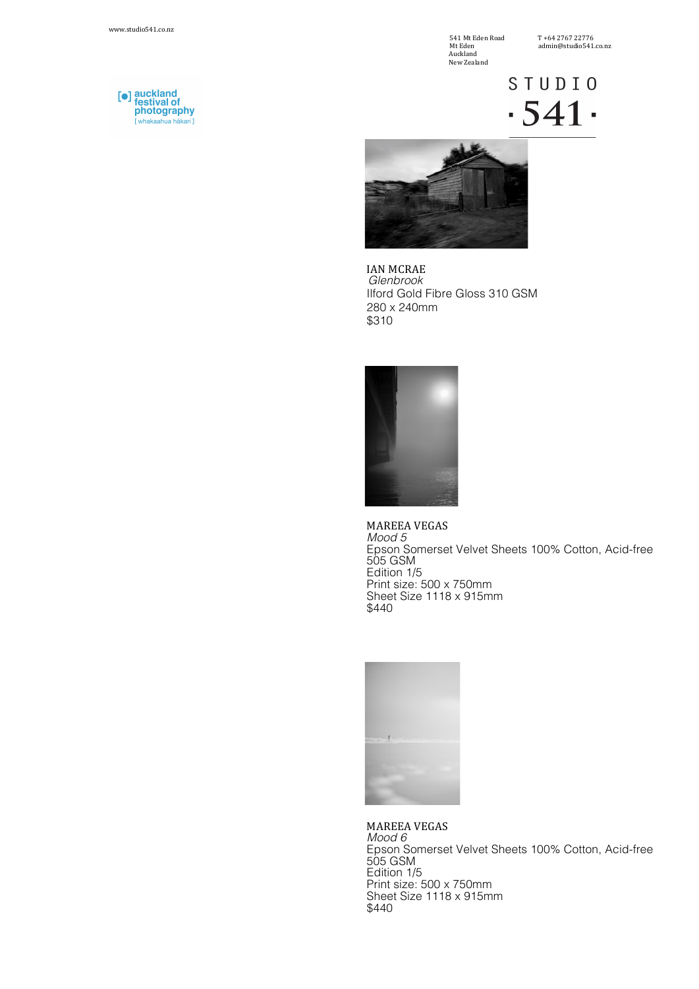[●] auckland<br>festival of<br>photography

[ whakaahua hakari ]

541 Mt Eden Road T +64 2767 22776 **Mt Eden**<br>Auckland New Zealand

## **STUDIO**  $-541$



IAN MCRAE *Glenbrook* Ilford Gold Fibre Gloss 310 GSM 280 x 240mm \$310



MAREEA VEGAS *Mood 5* Epson Somerset Velvet Sheets 100% Cotton, Acid-free 505 GSM Edition 1/5 Print size: 500 x 750mm Sheet Size 1118 x 915mm \$440



MAREEA VEGAS *Mood 6* Epson Somerset Velvet Sheets 100% Cotton, Acid-free 505 GSM Edition 1/5 Print size: 500 x 750mm Sheet Size 1118 x 915mm \$440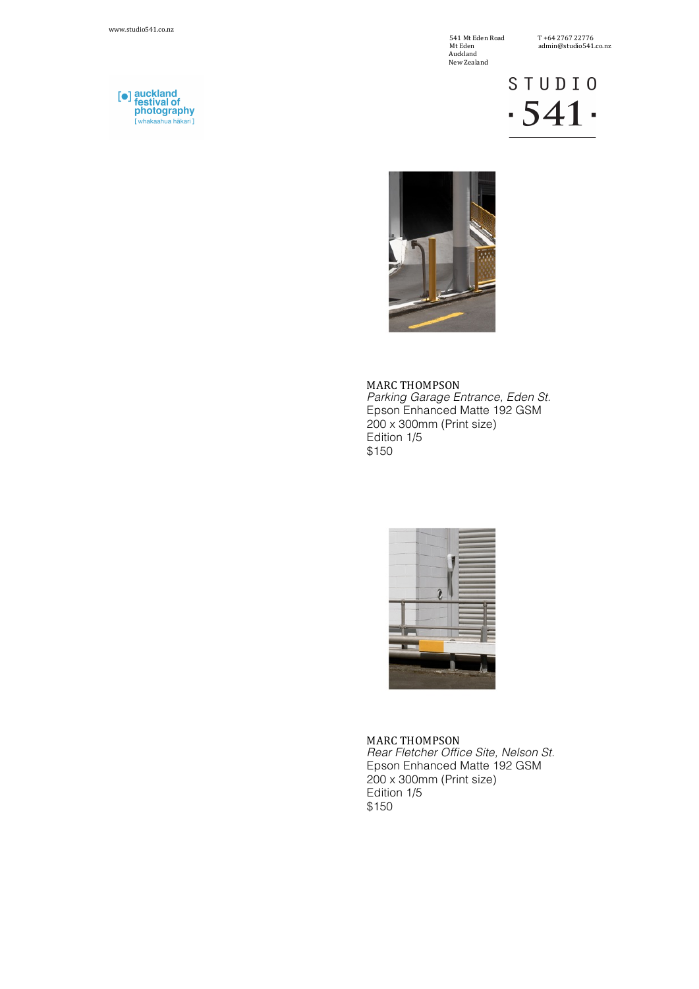541 Mt Eden Road T +64 2767 22776 Auckland New Zealand

 $11101210722707$ 

**STUDIO**  $-541$ 



**MARC THOMPSON** *Parking Garage Entrance, Eden St.* Epson Enhanced Matte 192 GSM  $200 \times 300$ mm (Print size) Edition 1/5 \$150



**MARC THOMPSON** *Rear Fletcher Office Site, Nelson St.* Epson Enhanced Matte 192 GSM 200 x 300mm (Print size) Edition 1/5 \$150